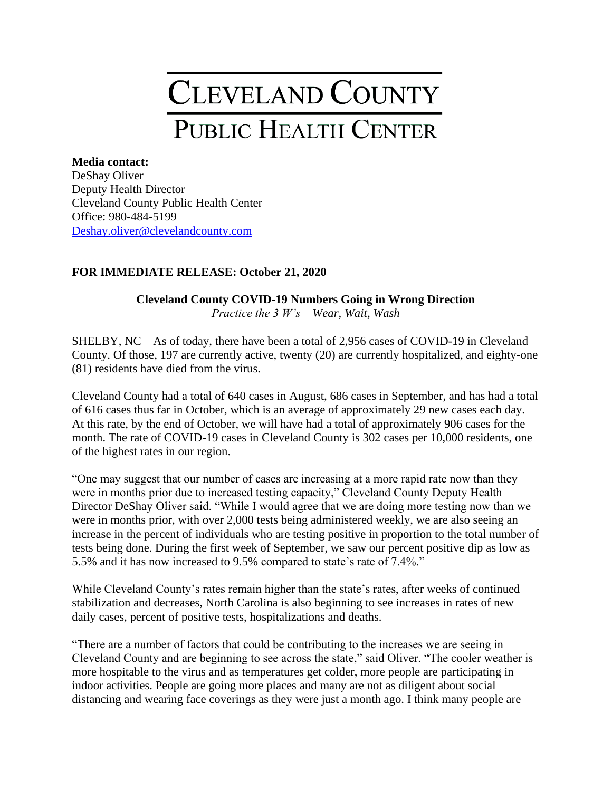## CLEVELAND COUNTY PUBLIC HEALTH CENTER

## **Media contact:**

DeShay Oliver Deputy Health Director Cleveland County Public Health Center Office: 980-484-5199 [Deshay.oliver@clevelandcounty.com](mailto:Deshay.oliver@clevelandcounty.com)

## **FOR IMMEDIATE RELEASE: October 21, 2020**

## **Cleveland County COVID-19 Numbers Going in Wrong Direction**  *Practice the 3 W's – Wear, Wait, Wash*

SHELBY, NC – As of today, there have been a total of 2,956 cases of COVID-19 in Cleveland County. Of those, 197 are currently active, twenty (20) are currently hospitalized, and eighty-one (81) residents have died from the virus.

Cleveland County had a total of 640 cases in August, 686 cases in September, and has had a total of 616 cases thus far in October, which is an average of approximately 29 new cases each day. At this rate, by the end of October, we will have had a total of approximately 906 cases for the month. The rate of COVID-19 cases in Cleveland County is 302 cases per 10,000 residents, one of the highest rates in our region.

"One may suggest that our number of cases are increasing at a more rapid rate now than they were in months prior due to increased testing capacity," Cleveland County Deputy Health Director DeShay Oliver said. "While I would agree that we are doing more testing now than we were in months prior, with over 2,000 tests being administered weekly, we are also seeing an increase in the percent of individuals who are testing positive in proportion to the total number of tests being done. During the first week of September, we saw our percent positive dip as low as 5.5% and it has now increased to 9.5% compared to state's rate of 7.4%."

While Cleveland County's rates remain higher than the state's rates, after weeks of continued stabilization and decreases, North Carolina is also beginning to see increases in rates of new daily cases, percent of positive tests, hospitalizations and deaths.

"There are a number of factors that could be contributing to the increases we are seeing in Cleveland County and are beginning to see across the state," said Oliver. "The cooler weather is more hospitable to the virus and as temperatures get colder, more people are participating in indoor activities. People are going more places and many are not as diligent about social distancing and wearing face coverings as they were just a month ago. I think many people are